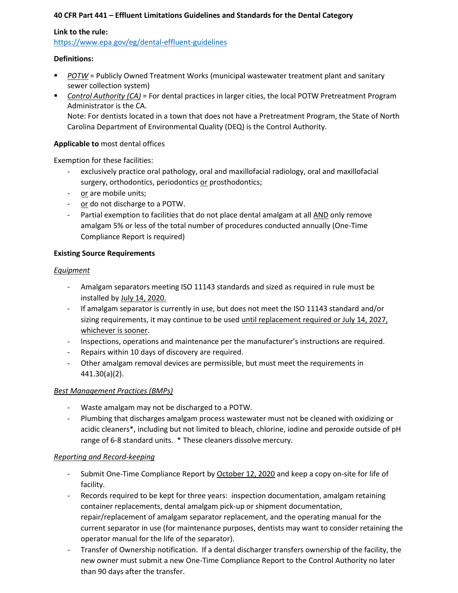## **40 CFR Part 441 – Effluent Limitations Guidelines and Standards for the Dental Category**

## **Link to the rule:**

<https://www.epa.gov/eg/dental-effluent-guidelines>

#### **Definitions:**

- *POTW* = Publicly Owned Treatment Works (municipal wastewater treatment plant and sanitary sewer collection system)
- *Control Authority (CA)* = For dental practices in larger cities, the local POTW Pretreatment Program Administrator is the CA. Note: For dentists located in a town that does not have a Pretreatment Program, the State of North

Carolina Department of Environmental Quality (DEQ) is the Control Authority.

# **Applicable to** most dental offices

Exemption for these facilities:

- exclusively practice oral pathology, oral and maxillofacial radiology, oral and maxillofacial surgery, orthodontics, periodontics or prosthodontics;
- or are mobile units;
- or do not discharge to a POTW.
- Partial exemption to facilities that do not place dental amalgam at all AND only remove amalgam 5% or less of the total number of procedures conducted annually (One-Time Compliance Report is required)

## **Existing Source Requirements**

# *Equipment*

- Amalgam separators meeting ISO 11143 standards and sized as required in rule must be installed by July 14, 2020.
- If amalgam separator is currently in use, but does not meet the ISO 11143 standard and/or sizing requirements, it may continue to be used until replacement required or July 14, 2027, whichever is sooner.
- Inspections, operations and maintenance per the manufacturer's instructions are required.
- Repairs within 10 days of discovery are required.
- Other amalgam removal devices are permissible, but must meet the requirements in 441.30(a)(2).

# *Best Management Practices (BMPs)*

- Waste amalgam may not be discharged to a POTW.
- Plumbing that discharges amalgam process wastewater must not be cleaned with oxidizing or acidic cleaners\*, including but not limited to bleach, chlorine, iodine and peroxide outside of pH range of 6-8 standard units. \* These cleaners dissolve mercury.

#### *Reporting and Record-keeping*

- Submit One-Time Compliance Report by October 12, 2020 and keep a copy on-site for life of facility.
- Records required to be kept for three years: inspection documentation, amalgam retaining container replacements, dental amalgam pick-up or shipment documentation, repair/replacement of amalgam separator replacement, and the operating manual for the current separator in use (for maintenance purposes, dentists may want to consider retaining the operator manual for the life of the separator).
- Transfer of Ownership notification. If a dental discharger transfers ownership of the facility, the new owner must submit a new One-Time Compliance Report to the Control Authority no later than 90 days after the transfer.